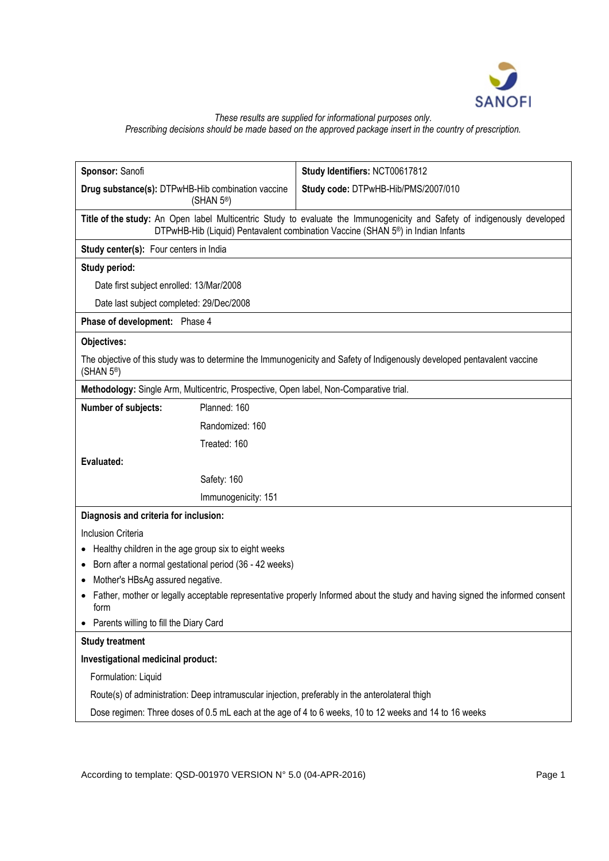

## *These results are supplied for informational purposes only. Prescribing decisions should be made based on the approved package insert in the country of prescription.*

| Sponsor: Sanofi                                                                                                                                                                                                          | Study Identifiers: NCT00617812      |
|--------------------------------------------------------------------------------------------------------------------------------------------------------------------------------------------------------------------------|-------------------------------------|
| Drug substance(s): DTPwHB-Hib combination vaccine<br>(SHAN $5^{\circ}$ )                                                                                                                                                 | Study code: DTPwHB-Hib/PMS/2007/010 |
| Title of the study: An Open label Multicentric Study to evaluate the Immunogenicity and Safety of indigenously developed<br>DTPwHB-Hib (Liquid) Pentavalent combination Vaccine (SHAN 5 <sup>®</sup> ) in Indian Infants |                                     |
| Study center(s): Four centers in India                                                                                                                                                                                   |                                     |
| Study period:                                                                                                                                                                                                            |                                     |
| Date first subject enrolled: 13/Mar/2008                                                                                                                                                                                 |                                     |
| Date last subject completed: 29/Dec/2008                                                                                                                                                                                 |                                     |
| Phase of development: Phase 4                                                                                                                                                                                            |                                     |
| Objectives:                                                                                                                                                                                                              |                                     |
| The objective of this study was to determine the Immunogenicity and Safety of Indigenously developed pentavalent vaccine<br>(SHAN $5^{\circ}$ )                                                                          |                                     |
| Methodology: Single Arm, Multicentric, Prospective, Open label, Non-Comparative trial.                                                                                                                                   |                                     |
| Planned: 160<br>Number of subjects:                                                                                                                                                                                      |                                     |
| Randomized: 160                                                                                                                                                                                                          |                                     |
| Treated: 160                                                                                                                                                                                                             |                                     |
| Evaluated:                                                                                                                                                                                                               |                                     |
| Safety: 160                                                                                                                                                                                                              |                                     |
| Immunogenicity: 151                                                                                                                                                                                                      |                                     |
| Diagnosis and criteria for inclusion:                                                                                                                                                                                    |                                     |
| Inclusion Criteria                                                                                                                                                                                                       |                                     |
| Healthy children in the age group six to eight weeks                                                                                                                                                                     |                                     |
| Born after a normal gestational period (36 - 42 weeks)<br>$\bullet$                                                                                                                                                      |                                     |
| Mother's HBsAg assured negative.<br>$\bullet$                                                                                                                                                                            |                                     |
| Father, mother or legally acceptable representative properly Informed about the study and having signed the informed consent<br>form                                                                                     |                                     |
| Parents willing to fill the Diary Card                                                                                                                                                                                   |                                     |
| <b>Study treatment</b>                                                                                                                                                                                                   |                                     |
| Investigational medicinal product:                                                                                                                                                                                       |                                     |
| Formulation: Liquid                                                                                                                                                                                                      |                                     |
| Route(s) of administration: Deep intramuscular injection, preferably in the anterolateral thigh                                                                                                                          |                                     |
| Dose regimen: Three doses of 0.5 mL each at the age of 4 to 6 weeks, 10 to 12 weeks and 14 to 16 weeks                                                                                                                   |                                     |

According to template: QSD-001970 VERSION N° 5.0 (04-APR-2016) Page 1